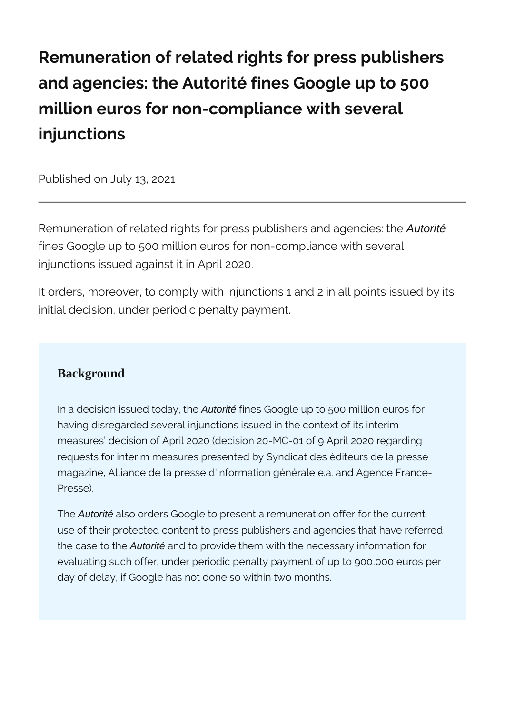# **Remuneration of related rights for press publishers and agencies: the Autorité fines Google up to 500 million euros for non-compliance with several injunctions**

Published on July 13, 2021

Remuneration of related rights for press publishers and agencies: the Autorité fines Google up to 500 million euros for non-compliance with several injunctions issued against it in April 2020.

It orders, moreover, to comply with injunctions 1 and 2 in all points issued by its initial decision, under periodic penalty payment.

#### **Background**

In a decision issued today, the Autorité fines Google up to 500 million euros for having disregarded several injunctions issued in the context of its interim measures' decision of April 2020 (decision 20-MC-01 of 9 April 2020 regarding requests for interim measures presented by Syndicat des éditeurs de la presse magazine, Alliance de la presse d'information générale e.a. and Agence France-Presse).

The **Autorité** also orders Google to present a remuneration offer for the current use of their protected content to press publishers and agencies that have referred the case to the Autorité and to provide them with the necessary information for evaluating such offer, under periodic penalty payment of up to 900,000 euros per day of delay, if Google has not done so within two months.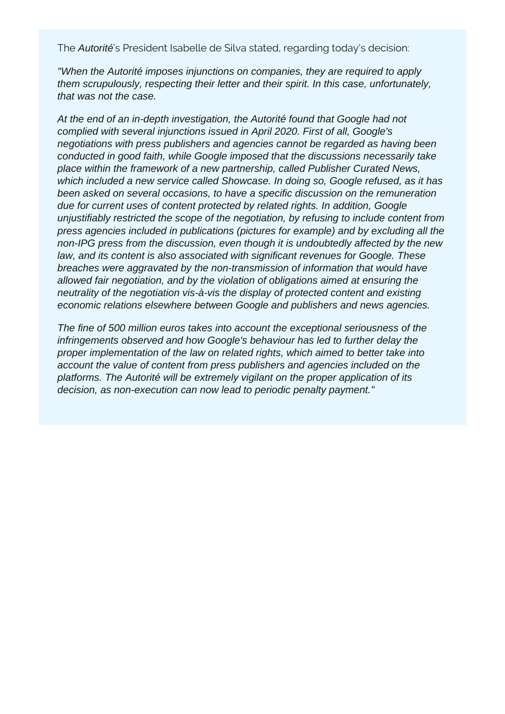The Autorité's President Isabelle de Silva stated, regarding today's decision:

"When the Autorité imposes injunctions on companies, they are required to apply them scrupulously, respecting their letter and their spirit. In this case, unfortunately, that was not the case.

At the end of an in-depth investigation, the Autorité found that Google had not complied with several injunctions issued in April 2020. First of all, Google's negotiations with press publishers and agencies cannot be regarded as having been conducted in good faith, while Google imposed that the discussions necessarily take place within the framework of a new partnership, called Publisher Curated News, which included a new service called Showcase. In doing so, Google refused, as it has been asked on several occasions, to have a specific discussion on the remuneration due for current uses of content protected by related rights. In addition, Google unjustifiably restricted the scope of the negotiation, by refusing to include content from press agencies included in publications (pictures for example) and by excluding all the non-IPG press from the discussion, even though it is undoubtedly affected by the new law, and its content is also associated with significant revenues for Google. These breaches were aggravated by the non-transmission of information that would have allowed fair negotiation, and by the violation of obligations aimed at ensuring the neutrality of the negotiation vis-à-vis the display of protected content and existing economic relations elsewhere between Google and publishers and news agencies.

The fine of 500 million euros takes into account the exceptional seriousness of the infringements observed and how Google's behaviour has led to further delay the proper implementation of the law on related rights, which aimed to better take into account the value of content from press publishers and agencies included on the platforms. The Autorité will be extremely vigilant on the proper application of its decision, as non-execution can now lead to periodic penalty payment."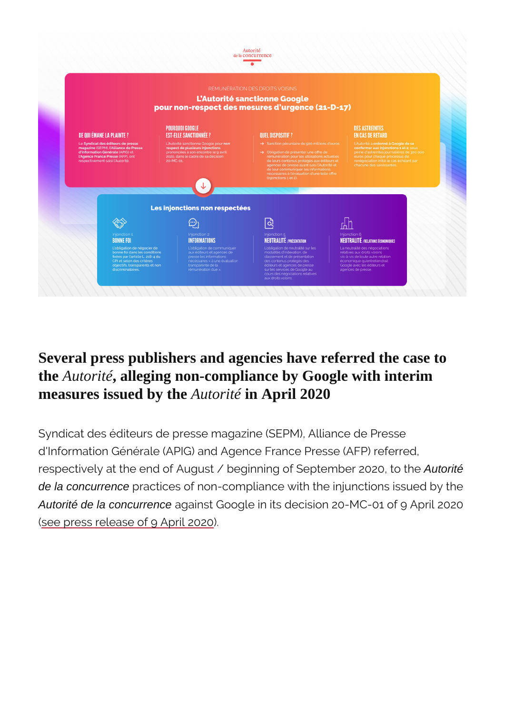Several press publishers and agencies have referred the case to the Autorité, alleging non-compliance by Google with interim measures issued by th**Autorité in April 2020** 

Syndicat des éditeurs de presse magazine (SEPM), Allian d'Information Générale (APIG) and Agence France Presse respectively at the end of August / beginning oAutometemb de la concurrence practices of non-compliance with the injunction Autorité de la concurrence against Google in its decision 20-MC-01 [\(see press release of](https://www.autoritedelaconcurrence.fr/en/press-release/related-rights-autorite-has-granted-requests-urgent-interim-measures-presented-press)  $\beta$ . April 2020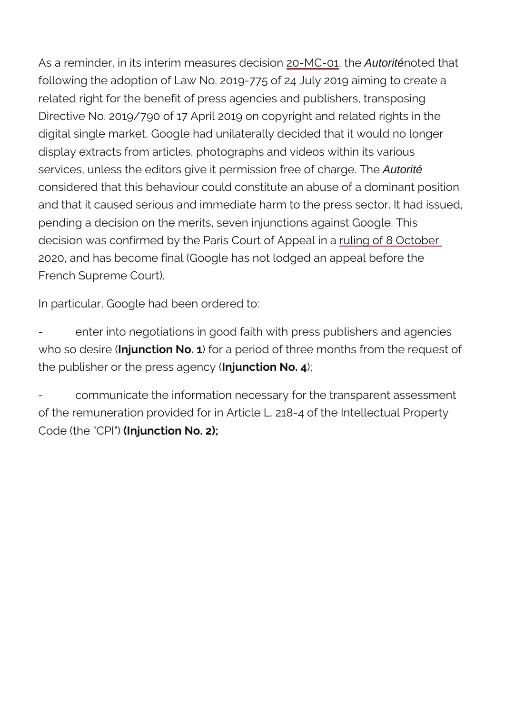As a reminder, in its interim m<sub>2</sub>easMo Ce, **Stid Autoritériconted** that following the adoption of Law No. 2019-775 odreate udy 20 related right for the benefit of press agements possing goublishers. Directive No. 2019/790 of 17 April 2019 on  $q$  on  $q$  by the  $q$  and  $r$ digital single market, Google had unilateralmo decided th display extracts from articles, photographs animod svideos w services, unless the editors give it permisAutorité free of ch considered that this behaviour could constitute an abuse and that it caused serious and immediate harm to the pre pending a decision on the merits, seven injunctions agains decision was confirmed by the Paris Cuoluimt ooff ASp Q cab biera [202](https://www.autoritedelaconcurrence.fr/sites/default/files/appealsd/2020-10/ca_20mc01_oct20.pdf)0 and has become final (Google has not lodged an app French Supreme Court).

In particular, Google had been ordered to:

enter into negotiations in good faith with press who so debnitun ction No. 1 a period of three months from the request of  $\alpha$ the publisher or the prensisum agteomorgy  $(0.4)$ 

communicate the information necessary for the of the remuneration provided for in Article L. 218-4 of th Code (the  $(C \cap F)$   $\cup$   $\cap$  tion No. 2);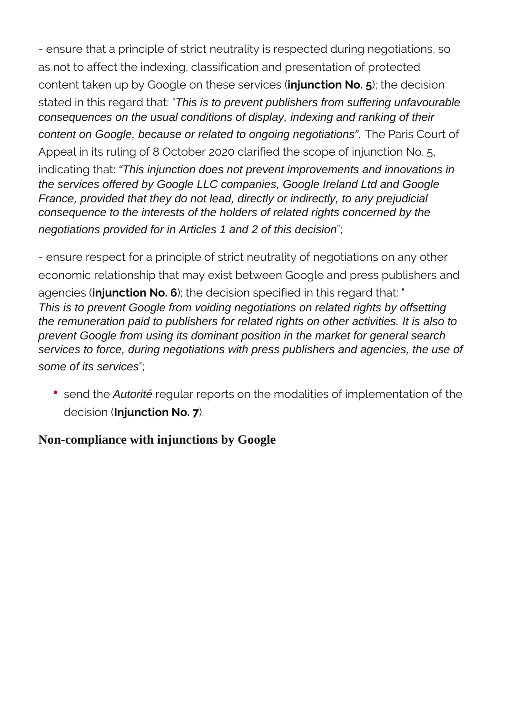- ensure that a principle of strict neutrality is respected during negotiations, so as not to affect the indexing, classification and presentation of protected content taken up by Google on these services (**injunction No. 5**); the decision stated in this regard that: "This is to prevent publishers from suffering unfavourable consequences on the usual conditions of display, indexing and ranking of their content on Google, because or related to ongoing negotiations". The Paris Court of Appeal in its ruling of 8 October 2020 clarified the scope of injunction No. 5, indicating that: "This injunction does not prevent improvements and innovations in the services offered by Google LLC companies, Google Ireland Ltd and Google France, provided that they do not lead, directly or indirectly, to any prejudicial consequence to the interests of the holders of related rights concerned by the negotiations provided for in Articles 1 and 2 of this decision";

- ensure respect for a principle of strict neutrality of negotiations on any other economic relationship that may exist between Google and press publishers and agencies (**injunction No. 6**); the decision specified in this regard that: " This is to prevent Google from voiding negotiations on related rights by offsetting the remuneration paid to publishers for related rights on other activities. It is also to prevent Google from using its dominant position in the market for general search services to force, during negotiations with press publishers and agencies, the use of some of its services";

• send the *Autorité* regular reports on the modalities of implementation of the decision (**Injunction No. 7**).

#### **Non-compliance with injunctions by Google**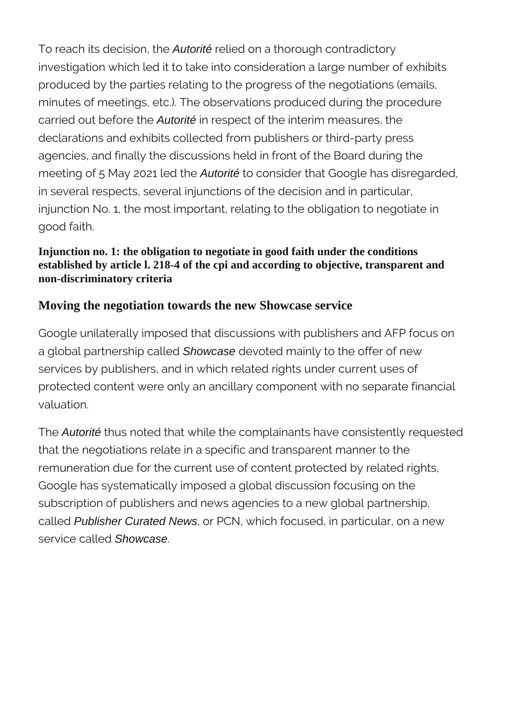To reach its decision, the Autorité relied on a thorough contradictory investigation which led it to take into consideration a large number of exhibits produced by the parties relating to the progress of the negotiations (emails, minutes of meetings, etc.). The observations produced during the procedure carried out before the Autorité in respect of the interim measures, the declarations and exhibits collected from publishers or third-party press agencies, and finally the discussions held in front of the Board during the meeting of 5 May 2021 led the *Autorité* to consider that Google has disregarded, in several respects, several injunctions of the decision and in particular, injunction No. 1, the most important, relating to the obligation to negotiate in good faith.

#### **Injunction no. 1: the obligation to negotiate in good faith under the conditions established by article l. 218-4 of the cpi and according to objective, transparent and non-discriminatory criteria**

#### **Moving the negotiation towards the new Showcase service**

Google unilaterally imposed that discussions with publishers and AFP focus on a global partnership called Showcase devoted mainly to the offer of new services by publishers, and in which related rights under current uses of protected content were only an ancillary component with no separate financial valuation.

The **Autorité** thus noted that while the complainants have consistently requested that the negotiations relate in a specific and transparent manner to the remuneration due for the current use of content protected by related rights, Google has systematically imposed a global discussion focusing on the subscription of publishers and news agencies to a new global partnership, called Publisher Curated News, or PCN, which focused, in particular, on a new service called Showcase.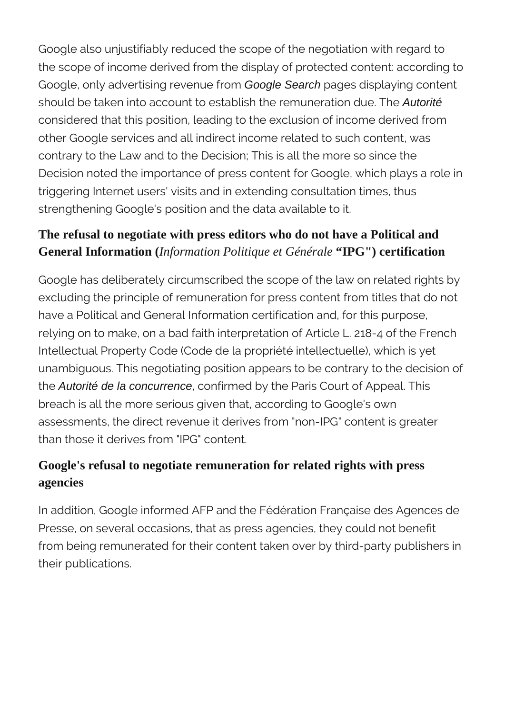Google also unjustifiably reduced the scope of the negotiation with regard to the scope of income derived from the display of protected content: according to Google, only advertising revenue from Google Search pages displaying content should be taken into account to establish the remuneration due. The Autorité considered that this position, leading to the exclusion of income derived from other Google services and all indirect income related to such content, was contrary to the Law and to the Decision; This is all the more so since the Decision noted the importance of press content for Google, which plays a role in triggering Internet users' visits and in extending consultation times, thus strengthening Google's position and the data available to it.

## **The refusal to negotiate with press editors who do not have a Political and General Information (***Information Politique et Générale* **"IPG") certification**

Google has deliberately circumscribed the scope of the law on related rights by excluding the principle of remuneration for press content from titles that do not have a Political and General Information certification and, for this purpose, relying on to make, on a bad faith interpretation of Article L. 218-4 of the French Intellectual Property Code (Code de la propriété intellectuelle), which is yet unambiguous. This negotiating position appears to be contrary to the decision of the **Autorité de la concurrence**, confirmed by the Paris Court of Appeal. This breach is all the more serious given that, according to Google's own assessments, the direct revenue it derives from "non-IPG" content is greater than those it derives from "IPG" content.

### **Google's refusal to negotiate remuneration for related rights with press agencies**

In addition, Google informed AFP and the Fédération Française des Agences de Presse, on several occasions, that as press agencies, they could not benefit from being remunerated for their content taken over by third-party publishers in their publications.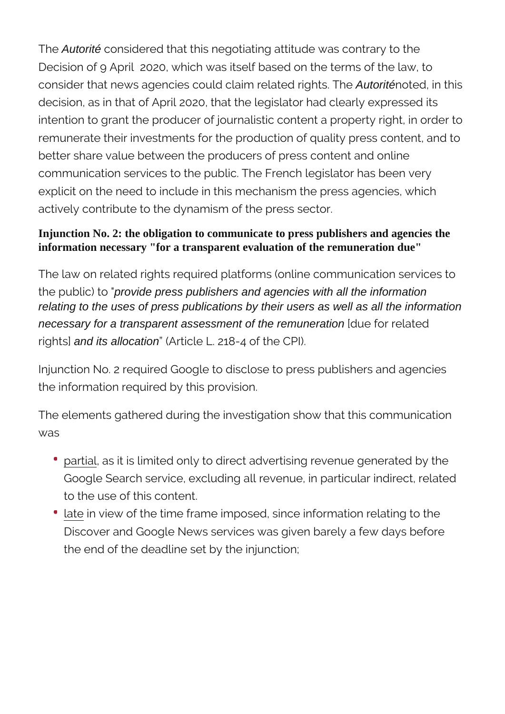The Autorité considered that this negotiating attitude was contrary to the Decision of 9 April 2020, which was itself based on the terms of the law, to consider that news agencies could claim related rights. The Autoriténoted, in this decision, as in that of April 2020, that the legislator had clearly expressed its intention to grant the producer of journalistic content a property right, in order to remunerate their investments for the production of quality press content, and to better share value between the producers of press content and online communication services to the public. The French legislator has been very explicit on the need to include in this mechanism the press agencies, which actively contribute to the dynamism of the press sector.

#### **Injunction No. 2: the obligation to communicate to press publishers and agencies the information necessary "for a transparent evaluation of the remuneration due"**

The law on related rights required platforms (online communication services to the public) to "provide press publishers and agencies with all the information relating to the uses of press publications by their users as well as all the information necessary for a transparent assessment of the remuneration [due for related rights] and its allocation" (Article L. 218-4 of the CPI).

Injunction No. 2 required Google to disclose to press publishers and agencies the information required by this provision.

The elements gathered during the investigation show that this communication was

- partial, as it is limited only to direct advertising revenue generated by the Google Search service, excluding all revenue, in particular indirect, related to the use of this content.
- late in view of the time frame imposed, since information relating to the Discover and Google News services was given barely a few days before the end of the deadline set by the injunction;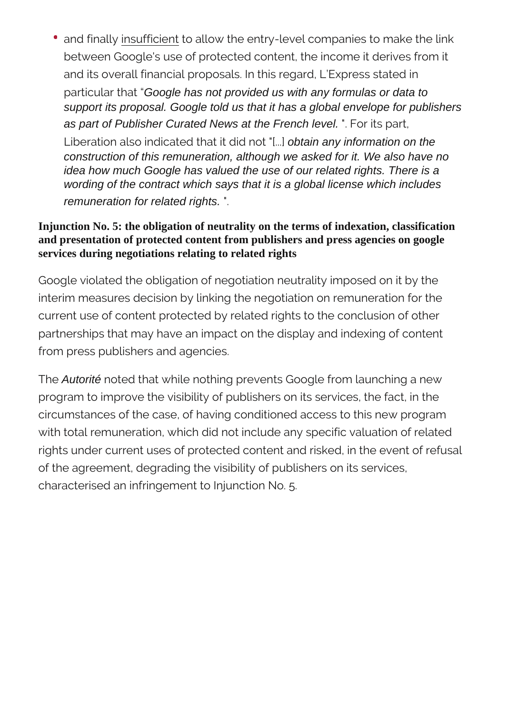• and finally insufficient to allow the entry-level companies to make the link between Google's use of protected content, the income it derives from it and its overall financial proposals. In this regard, L'Express stated in particular that "Google has not provided us with any formulas or data to support its proposal. Google told us that it has a global envelope for publishers as part of Publisher Curated News at the French level. ". For its part, Liberation also indicated that it did not "[...] obtain any information on the construction of this remuneration, although we asked for it. We also have no idea how much Google has valued the use of our related rights. There is a wording of the contract which says that it is a global license which includes remuneration for related rights. ".

#### **Injunction No. 5: the obligation of neutrality on the terms of indexation, classification and presentation of protected content from publishers and press agencies on google services during negotiations relating to related rights**

Google violated the obligation of negotiation neutrality imposed on it by the interim measures decision by linking the negotiation on remuneration for the current use of content protected by related rights to the conclusion of other partnerships that may have an impact on the display and indexing of content from press publishers and agencies.

The Autorité noted that while nothing prevents Google from launching a new program to improve the visibility of publishers on its services, the fact, in the circumstances of the case, of having conditioned access to this new program with total remuneration, which did not include any specific valuation of related rights under current uses of protected content and risked, in the event of refusal of the agreement, degrading the visibility of publishers on its services, characterised an infringement to Injunction No. 5.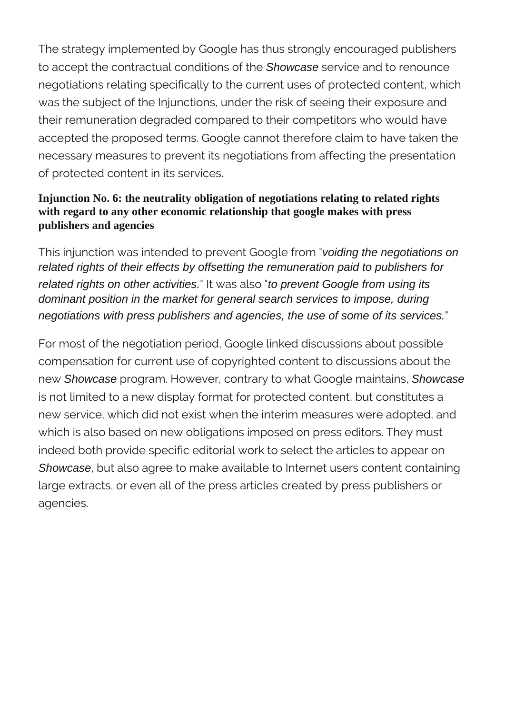The strategy implemented by Google has thus strongly encouraged publishers to accept the contractual conditions of the **Showcase** service and to renounce negotiations relating specifically to the current uses of protected content, which was the subject of the Injunctions, under the risk of seeing their exposure and their remuneration degraded compared to their competitors who would have accepted the proposed terms. Google cannot therefore claim to have taken the necessary measures to prevent its negotiations from affecting the presentation of protected content in its services.

#### **Injunction No. 6: the neutrality obligation of negotiations relating to related rights with regard to any other economic relationship that google makes with press publishers and agencies**

This injunction was intended to prevent Google from "voiding the negotiations on related rights of their effects by offsetting the remuneration paid to publishers for related rights on other activities." It was also "to prevent Google from using its dominant position in the market for general search services to impose, during negotiations with press publishers and agencies, the use of some of its services."

For most of the negotiation period, Google linked discussions about possible compensation for current use of copyrighted content to discussions about the new Showcase program. However, contrary to what Google maintains, Showcase is not limited to a new display format for protected content, but constitutes a new service, which did not exist when the interim measures were adopted, and which is also based on new obligations imposed on press editors. They must indeed both provide specific editorial work to select the articles to appear on Showcase, but also agree to make available to Internet users content containing large extracts, or even all of the press articles created by press publishers or agencies.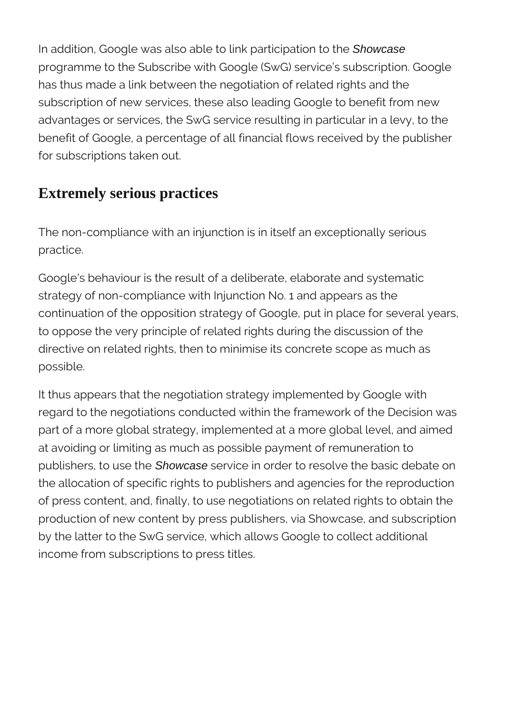In addition, Google was also able to link participation to the Showcase programme to the Subscribe with Google (SwG) service's subscription. Google has thus made a link between the negotiation of related rights and the subscription of new services, these also leading Google to benefit from new advantages or services, the SwG service resulting in particular in a levy, to the benefit of Google, a percentage of all financial flows received by the publisher for subscriptions taken out.

# **Extremely serious practices**

The non-compliance with an injunction is in itself an exceptionally serious practice.

Google's behaviour is the result of a deliberate, elaborate and systematic strategy of non-compliance with Injunction No. 1 and appears as the continuation of the opposition strategy of Google, put in place for several years, to oppose the very principle of related rights during the discussion of the directive on related rights, then to minimise its concrete scope as much as possible.

It thus appears that the negotiation strategy implemented by Google with regard to the negotiations conducted within the framework of the Decision was part of a more global strategy, implemented at a more global level, and aimed at avoiding or limiting as much as possible payment of remuneration to publishers, to use the Showcase service in order to resolve the basic debate on the allocation of specific rights to publishers and agencies for the reproduction of press content, and, finally, to use negotiations on related rights to obtain the production of new content by press publishers, via Showcase, and subscription by the latter to the SwG service, which allows Google to collect additional income from subscriptions to press titles.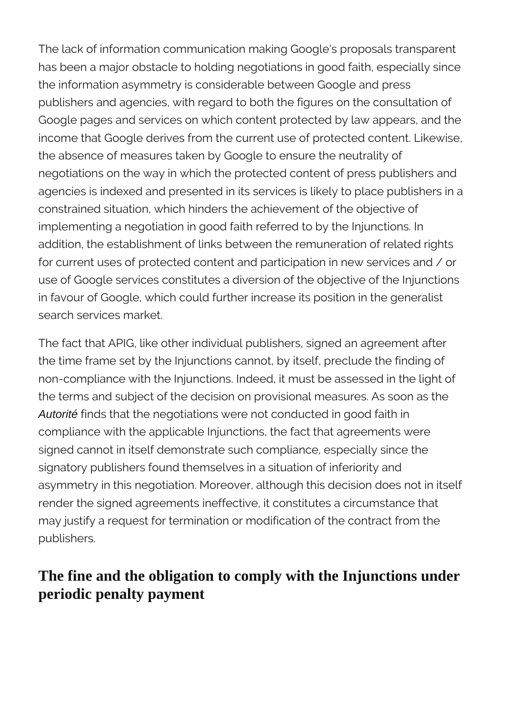The lack of information communication making Google's proposals transparent has been a major obstacle to holding negotiations in good faith, especially since the information asymmetry is considerable between Google and press publishers and agencies, with regard to both the figures on the consultation of Google pages and services on which content protected by law appears, and the income that Google derives from the current use of protected content. Likewise, the absence of measures taken by Google to ensure the neutrality of negotiations on the way in which the protected content of press publishers and agencies is indexed and presented in its services is likely to place publishers in a constrained situation, which hinders the achievement of the objective of implementing a negotiation in good faith referred to by the Injunctions. In addition, the establishment of links between the remuneration of related rights for current uses of protected content and participation in new services and / or use of Google services constitutes a diversion of the objective of the Injunctions in favour of Google, which could further increase its position in the generalist search services market.

The fact that APIG, like other individual publishers, signed an agreement after the time frame set by the Injunctions cannot, by itself, preclude the finding of non-compliance with the Injunctions. Indeed, it must be assessed in the light of the terms and subject of the decision on provisional measures. As soon as the Autorité finds that the negotiations were not conducted in good faith in compliance with the applicable Injunctions, the fact that agreements were signed cannot in itself demonstrate such compliance, especially since the signatory publishers found themselves in a situation of inferiority and asymmetry in this negotiation. Moreover, although this decision does not in itself render the signed agreements ineffective, it constitutes a circumstance that may justify a request for termination or modification of the contract from the publishers.

# **The fine and the obligation to comply with the Injunctions under periodic penalty payment**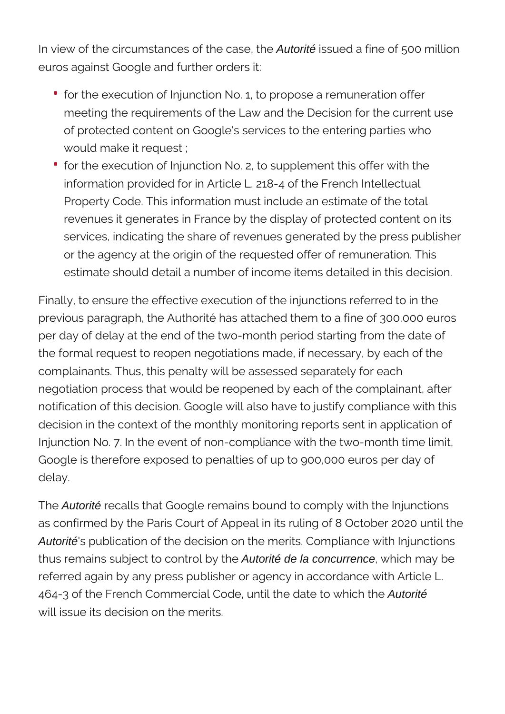In view of the circumstances of the case, the Autorité issued a fine of 500 million euros against Google and further orders it:

- for the execution of Injunction No. 1, to propose a remuneration offer meeting the requirements of the Law and the Decision for the current use of protected content on Google's services to the entering parties who would make it request ;
- for the execution of Injunction No. 2, to supplement this offer with the information provided for in Article L. 218-4 of the French Intellectual Property Code. This information must include an estimate of the total revenues it generates in France by the display of protected content on its services, indicating the share of revenues generated by the press publisher or the agency at the origin of the requested offer of remuneration. This estimate should detail a number of income items detailed in this decision.

Finally, to ensure the effective execution of the injunctions referred to in the previous paragraph, the Authorité has attached them to a fine of 300,000 euros per day of delay at the end of the two-month period starting from the date of the formal request to reopen negotiations made, if necessary, by each of the complainants. Thus, this penalty will be assessed separately for each negotiation process that would be reopened by each of the complainant, after notification of this decision. Google will also have to justify compliance with this decision in the context of the monthly monitoring reports sent in application of Injunction No. 7. In the event of non-compliance with the two-month time limit, Google is therefore exposed to penalties of up to 900,000 euros per day of delay.

The **Autorité** recalls that Google remains bound to comply with the Injunctions as confirmed by the Paris Court of Appeal in its ruling of 8 October 2020 until the Autorité's publication of the decision on the merits. Compliance with Injunctions thus remains subject to control by the Autorité de la concurrence, which may be referred again by any press publisher or agency in accordance with Article L. 464-3 of the French Commercial Code, until the date to which the Autorité will issue its decision on the merits.